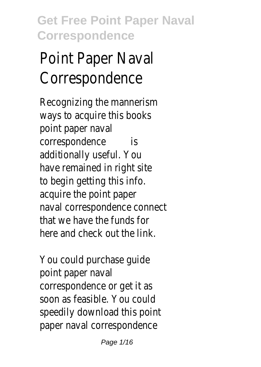# Point Paper Naval Correspondence

Recognizing the mannerism ways to acquire this books point paper naval correspondence is additionally useful. You have remained in right site to begin getting this info. acquire the point paper naval correspondence connect that we have the funds for here and check out the link.

You could purchase guide point paper naval correspondence or get it as soon as feasible. You could speedily download this point paper naval correspondence

Page 1/16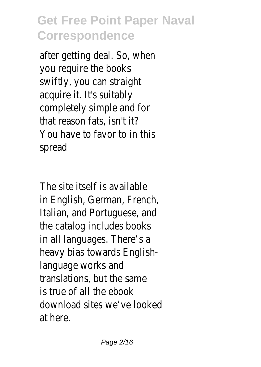after getting deal. So, when you require the books swiftly, you can straight acquire it. It's suitably completely simple and for that reason fats, isn't it? You have to favor to in this spread

The site itself is available in English, German, French, Italian, and Portuguese, and the catalog includes books in all languages. There's a heavy bias towards Englishlanguage works and translations, but the same is true of all the ebook download sites we've looked at here.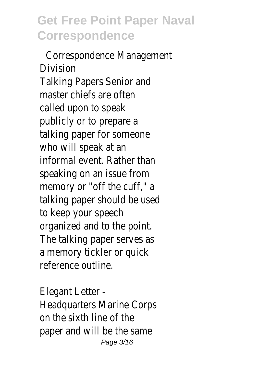Correspondence Management Division Talking Papers Senior and master chiefs are often called upon to speak publicly or to prepare a talking paper for someone who will speak at an informal event. Rather than speaking on an issue from memory or "off the cuff," a talking paper should be used to keep your speech organized and to the point. The talking paper serves as a memory tickler or quick reference outline.

Elegant Letter - Headquarters Marine Corps on the sixth line of the paper and will be the same Page 3/16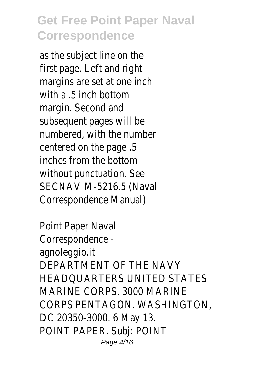as the subject line on the first page. Left and right margins are set at one inch with  $a$  5 inch bottom margin. Second and subsequent pages will be numbered, with the number centered on the page .5 inches from the bottom without punctuation. See SECNAV M-5216.5 (Naval Correspondence Manual)

Point Paper Naval Correspondence agnoleggio.it DEPARTMENT OF THE NAVY HEADQUARTERS UNITED STATES MARINE CORPS. 3000 MARINE CORPS PENTAGON. WASHINGTON, DC 20350-3000. 6 May 13. POINT PAPER. Subj: POINT Page 4/16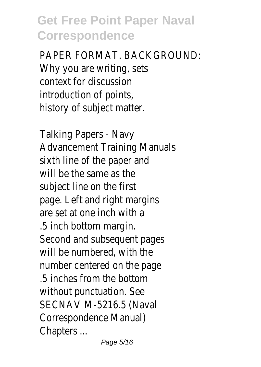PAPER FORMAT. BACKGROUND: Why you are writing, sets context for discussion introduction of points, history of subject matter.

Talking Papers - Navy Advancement Training Manuals sixth line of the paper and will be the same as the subject line on the first page. Left and right margins are set at one inch with a .5 inch bottom margin. Second and subsequent pages will be numbered, with the number centered on the page .5 inches from the bottom without punctuation. See SECNAV M-5216.5 (Naval Correspondence Manual) Chapters ...

Page 5/16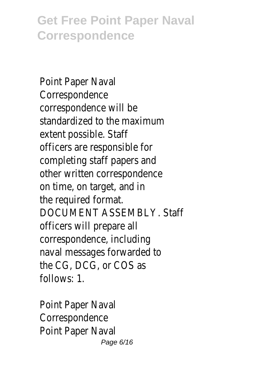Point Paper Naval Correspondence correspondence will be standardized to the maximum extent possible. Staff officers are responsible for completing staff papers and other written correspondence on time, on target, and in the required format. DOCUMENT ASSEMBLY. Staff officers will prepare all correspondence, including naval messages forwarded to the CG, DCG, or COS as follows: 1.

Point Paper Naval Correspondence Point Paper Naval Page 6/16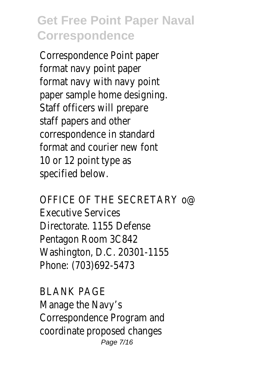Correspondence Point paper format navy point paper format navy with navy point paper sample home designing. Staff officers will prepare staff papers and other correspondence in standard format and courier new font 10 or 12 point type as specified below.

OFFICE OF THE SECRETARY o@ Executive Services Directorate. 1155 Defense Pentagon Room 3C842 Washington, D.C. 20301-1155 Phone: (703)692-5473

BLANK PAGE Manage the Navy's Correspondence Program and coordinate proposed changes Page 7/16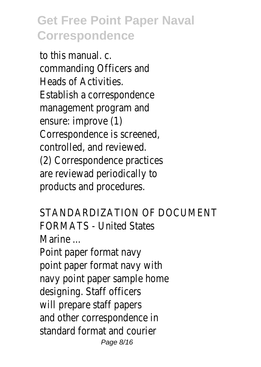to this manual. c. commanding Officers and Heads of Activities. Establish a correspondence management program and ensure: improve (1) Correspondence is screened, controlled, and reviewed. (2) Correspondence practices are reviewad periodically to products and procedures.

STANDARDIZATION OF DOCUMENT FORMATS - United States Marine

Point paper format navy point paper format navy with navy point paper sample home designing. Staff officers will prepare staff papers and other correspondence in standard format and courier Page 8/16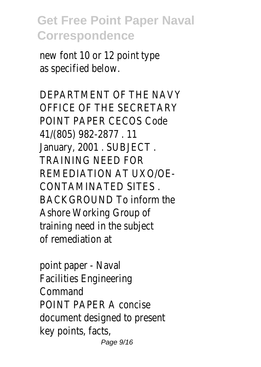new font 10 or 12 point type as specified below.

DEPARTMENT OF THE NAVY OFFICE OF THE SECRETARY POINT PAPER CECOS Code 41/(805) 982-2877 . 11 January, 2001 . SUBJECT . TRAINING NEED FOR REMEDIATION AT UXO/OE-CONTAMINATED SITES . BACKGROUND To inform the Ashore Working Group of training need in the subject of remediation at

point paper - Naval Facilities Engineering Command POINT PAPER A concise document designed to present key points, facts, Page 9/16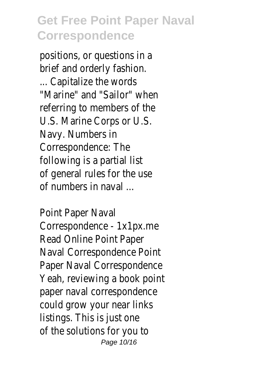positions, or questions in a brief and orderly fashion. ... Capitalize the words "Marine" and "Sailor" when referring to members of the U.S. Marine Corps or U.S. Navy. Numbers in Correspondence: The following is a partial list of general rules for the use of numbers in naval ...

Point Paper Naval Correspondence - 1x1px.me Read Online Point Paper Naval Correspondence Point Paper Naval Correspondence Yeah, reviewing a book point paper naval correspondence could grow your near links listings. This is just one of the solutions for you to Page 10/16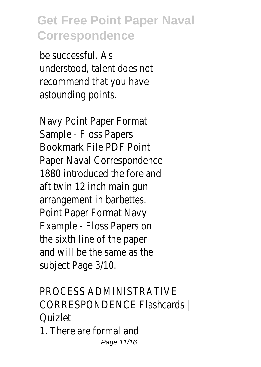be successful. As understood, talent does not recommend that you have astounding points.

Navy Point Paper Format Sample - Floss Papers Bookmark File PDF Point Paper Naval Correspondence 1880 introduced the fore and aft twin 12 inch main gun arrangement in barbettes. Point Paper Format Navy Example - Floss Papers on the sixth line of the paper and will be the same as the subject Page 3/10.

PROCESS ADMINISTRATIVE CORRESPONDENCE Flashcards | Quizlet

1. There are formal and Page 11/16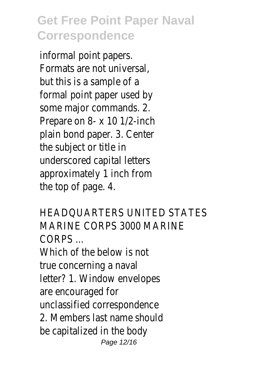informal point papers. Formats are not universal, but this is a sample of a formal point paper used by some major commands. 2. Prepare on 8- x 10 1/2-inch plain bond paper. 3. Center the subject or title in underscored capital letters approximately 1 inch from the top of page. 4.

HEADQUARTERS UNITED STATES MARINE CORPS 3000 MARINE CORPS ... Which of the below is not true concerning a naval letter? 1. Window envelopes are encouraged for unclassified correspondence 2. Members last name should be capitalized in the body Page 12/16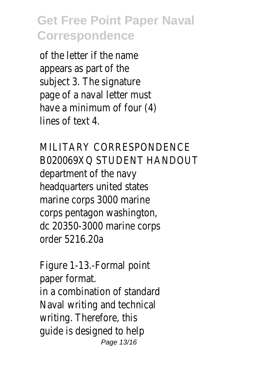of the letter if the name appears as part of the subject 3. The signature page of a naval letter must have a minimum of four (4) lines of text 4.

MILITARY CORRESPONDENCE B020069XQ STUDENT HANDOUT department of the navy headquarters united states marine corps 3000 marine corps pentagon washington, dc 20350-3000 marine corps order 5216.20a

Figure 1-13.-Formal point paper format. in a combination of standard Naval writing and technical writing. Therefore, this guide is designed to help Page 13/16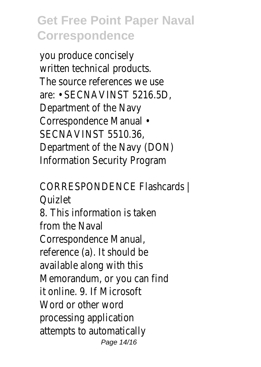you produce concisely written technical products. The source references we use are: • SECNAVINST 5216.5D, Department of the Navy Correspondence Manual • SECNAVINST 5510.36, Department of the Navy (DON) Information Security Program

CORRESPONDENCE Flashcards | Quizlet 8. This information is taken from the Naval Correspondence Manual, reference (a). It should be available along with this Memorandum, or you can find it online. 9. If Microsoft Word or other word processing application attempts to automatically Page 14/16